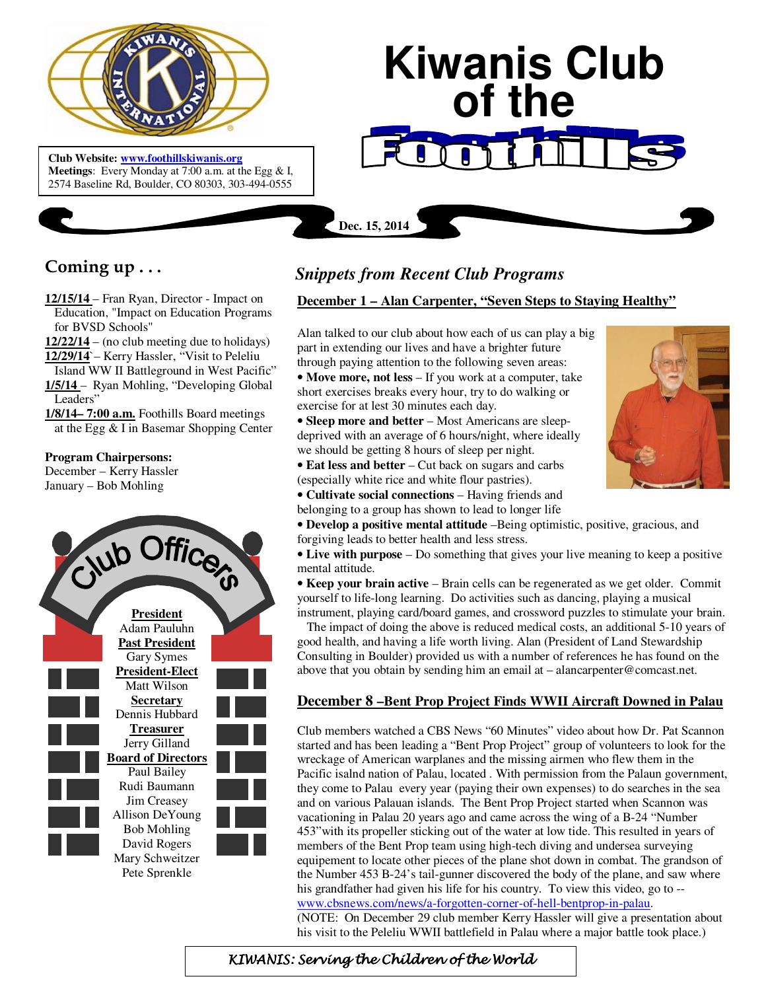

 **Meetings**: Every Monday at 7:00 a.m. at the Egg & I, **Club Website: www.foothillskiwanis.org** 2574 Baseline Rd, Boulder, CO 80303, 303-494-0555

# **Kiwanis Club of the**

**Dec. 15, 2014**

# **Coming up . . .**

- **12/15/14**  Fran Ryan, Director Impact on Education, "Impact on Education Programs for BVSD Schools"
- **12/22/14** (no club meeting due to holidays)
- **12/29/14**`– Kerry Hassler, "Visit to Peleliu
- Island WW II Battleground in West Pacific" **1/5/14** – Ryan Mohling, "Developing Global Leaders"
- **1/8/14– 7:00 a.m.** Foothills Board meetings at the Egg & I in Basemar Shopping Center

## **Program Chairpersons:**

December – Kerry Hassler January – Bob Mohling



# *Snippets from Recent Club Programs*

## **December 1 – Alan Carpenter, "Seven Steps to Staying Healthy"**

Alan talked to our club about how each of us can play a big part in extending our lives and have a brighter future through paying attention to the following seven areas:

• **Move more, not less** – If you work at a computer, take short exercises breaks every hour, try to do walking or exercise for at lest 30 minutes each day.

• **Sleep more and better** – Most Americans are sleepdeprived with an average of 6 hours/night, where ideally we should be getting 8 hours of sleep per night.

• **Eat less and better** – Cut back on sugars and carbs (especially white rice and white flour pastries).

• **Cultivate social connections** – Having friends and belonging to a group has shown to lead to longer life



• **Live with purpose** – Do something that gives your live meaning to keep a positive mental attitude.

• **Keep your brain active** – Brain cells can be regenerated as we get older. Commit yourself to life-long learning. Do activities such as dancing, playing a musical instrument, playing card/board games, and crossword puzzles to stimulate your brain.

 The impact of doing the above is reduced medical costs, an additional 5-10 years of good health, and having a life worth living. Alan (President of Land Stewardship Consulting in Boulder) provided us with a number of references he has found on the above that you obtain by sending him an email at – alancarpenter@comcast.net.

# **December 8 –Bent Prop Project Finds WWII Aircraft Downed in Palau**

Club members watched a CBS News "60 Minutes" video about how Dr. Pat Scannon started and has been leading a "Bent Prop Project" group of volunteers to look for the wreckage of American warplanes and the missing airmen who flew them in the Pacific isalnd nation of Palau, located . With permission from the Palaun government, they come to Palau every year (paying their own expenses) to do searches in the sea and on various Palauan islands. The Bent Prop Project started when Scannon was vacationing in Palau 20 years ago and came across the wing of a B-24 "Number 453"with its propeller sticking out of the water at low tide. This resulted in years of members of the Bent Prop team using high-tech diving and undersea surveying equipement to locate other pieces of the plane shot down in combat. The grandson of the Number 453 B-24's tail-gunner discovered the body of the plane, and saw where his grandfather had given his life for his country. To view this video, go to - www.cbsnews.com/news/a-forgotten-corner-of-hell-bentprop-in-palau.

(NOTE: On December 29 club member Kerry Hassler will give a presentation about his visit to the Peleliu WWII battlefield in Palau where a major battle took place.)

KIWANIS: Serving the Children of the World